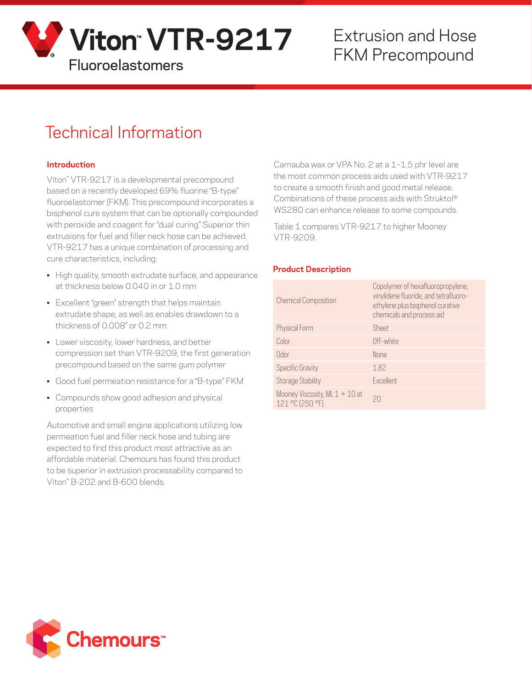

# Extrusion and Hose

## Technical Information

#### **Introduction**

Viton™ VTR-9217 is a developmental precompound based on a recently developed 69% fluorine "B-type" fluoroelastomer (FKM). This precompound incorporates a bisphenol cure system that can be optionally compounded with peroxide and coagent for "dual curing." Superior thin extrusions for fuel and filler neck hose can be achieved. VTR-9217 has a unique combination of processing and cure characteristics, including:

- High quality, smooth extrudate surface, and appearance at thickness below 0.040 in or 1.0 mm
- Excellent "green" strength that helps maintain extrudate shape, as well as enables drawdown to a thickness of 0.008" or 0.2 mm
- Lower viscosity, lower hardness, and better compression set than VTR-9209, the first generation precompound based on the same gum polymer
- Good fuel permeation resistance for a "B-type" FKM
- Compounds show good adhesion and physical properties

Automotive and small engine applications utilizing low permeation fuel and filler neck hose and tubing are expected to find this product most attractive as an affordable material. Chemours has found this product to be superior in extrusion processability compared to Viton™ B-202 and B-600 blends.

Carnauba wax or VPA No. 2 at a 1–1.5 phr level are the most common process aids used with VTR-9217 to create a smooth finish and good metal release. Combinations of these process aids with Struktol® WS280 can enhance release to some compounds.

Table 1 compares VTR-9217 to higher Mooney VTR-9209.

#### **Product Description**

| <b>Chemical Composition</b>                         | Copolymer of hexafluoropropylene,<br>vinylidene fluoride, and tetrafluoro-<br>ethylene plus bisphenol curative<br>chemicals and process aid |
|-----------------------------------------------------|---------------------------------------------------------------------------------------------------------------------------------------------|
| Physical Form                                       | Sheet                                                                                                                                       |
| Color                                               | Off-white                                                                                                                                   |
| Odor                                                | None                                                                                                                                        |
| <b>Specific Gravity</b>                             | 1.82                                                                                                                                        |
| <b>Storage Stability</b>                            | Excellent                                                                                                                                   |
| Mooney Viscosity, ML $1 + 10$ at<br>121 °C (250 °F) | 20                                                                                                                                          |

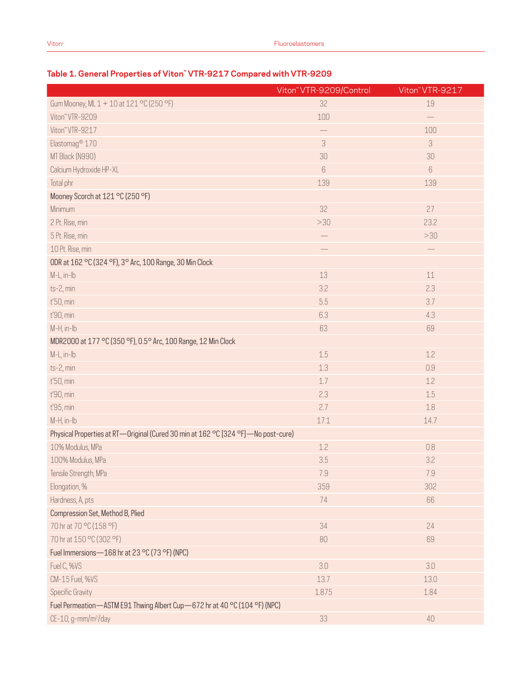### **Table 1. General Properties of Viton™ VTR-9217 Compared with VTR-9209**

|                                                                                   | Viton <sup>"</sup> VTR-9209/Control | Viton" VTR-9217 |  |
|-----------------------------------------------------------------------------------|-------------------------------------|-----------------|--|
| Gum Mooney, ML 1 + 10 at 121 °C (250 °F)                                          | 32                                  | 19              |  |
| Viton" VTR-9209                                                                   | 100                                 |                 |  |
| Viton" VTR-9217                                                                   |                                     | 100             |  |
| Elastomag <sup>®</sup> 170                                                        | 3                                   | 3               |  |
| MT Black (N990)                                                                   | 30                                  | 30              |  |
| Calcium Hydroxide HP-XL                                                           | 6                                   | $6\phantom{.}6$ |  |
| Total phr                                                                         | 139                                 | 139             |  |
| Mooney Scorch at 121 °C (250 °F)                                                  |                                     |                 |  |
| Minimum                                                                           | 32                                  | 27              |  |
| 2 Pt. Rise, min                                                                   | >30                                 | 23.2            |  |
| 5 Pt. Rise, min                                                                   | $\overline{\phantom{0}}$            | >30             |  |
| 10 Pt. Rise, min                                                                  |                                     |                 |  |
| ODR at 162 °C (324 °F), 3° Arc, 100 Range, 30 Min Clock                           |                                     |                 |  |
| M-L, in-lb                                                                        | 13                                  | $11\,$          |  |
| ts-2, min                                                                         | 3.2                                 | 2.3             |  |
| t'50, min                                                                         | 5.5                                 | 3.7             |  |
| t'90, min                                                                         | 6.3                                 | 4.3             |  |
| M-H, in-lb                                                                        | 63                                  | 69              |  |
| MDR2000 at 177 °C (350 °F), 0.5° Arc, 100 Range, 12 Min Clock                     |                                     |                 |  |
| M-L, in-lb                                                                        | 1.5                                 | 1.2             |  |
| ts-2, min                                                                         | 1.3                                 | 0.9             |  |
| t'50, min                                                                         | 1.7                                 | 1.2             |  |
| t'90, min                                                                         | 2.3                                 | 1.5             |  |
| t'95, min                                                                         | 2.7                                 | 1.8             |  |
| M-H, in-lb                                                                        | 17.1                                | 14.7            |  |
| Physical Properties at RT-Original (Cured 30 min at 162 °C [324 °F]-No post-cure) |                                     |                 |  |
| 10% Modulus, MPa                                                                  | 1.2                                 | $0.8\,$         |  |
| 100% Modulus, MPa                                                                 | 3.5                                 | 3.2             |  |
| Tensile Strength, MPa                                                             | $7.9\,$                             | $7.9\,$         |  |
| Elongation, %                                                                     | 359                                 | 302             |  |
| Hardness, A, pts                                                                  | 74                                  | 66              |  |
| Compression Set, Method B, Plied                                                  |                                     |                 |  |
| 70 hr at 70 °C (158 °F)                                                           | 34                                  | 24              |  |
| 70 hr at 150 °C (302 °F)                                                          | 80                                  | 69              |  |
| Fuel Immersions-168 hr at 23 °C (73 °F) (NPC)                                     |                                     |                 |  |
| Fuel C, %VS                                                                       | 3.0                                 | 3.0             |  |
| CM-15 Fuel, %VS                                                                   | 13.7                                | 13.0            |  |
| <b>Specific Gravity</b>                                                           | 1.875                               | 1.84            |  |
| Fuel Permeation-ASTM E91 Thwing Albert Cup-672 hr at 40 °C (104 °F) (NPC)         |                                     |                 |  |
| CE-10, g-mm/m <sup>2</sup> /day                                                   | 33                                  | 40              |  |